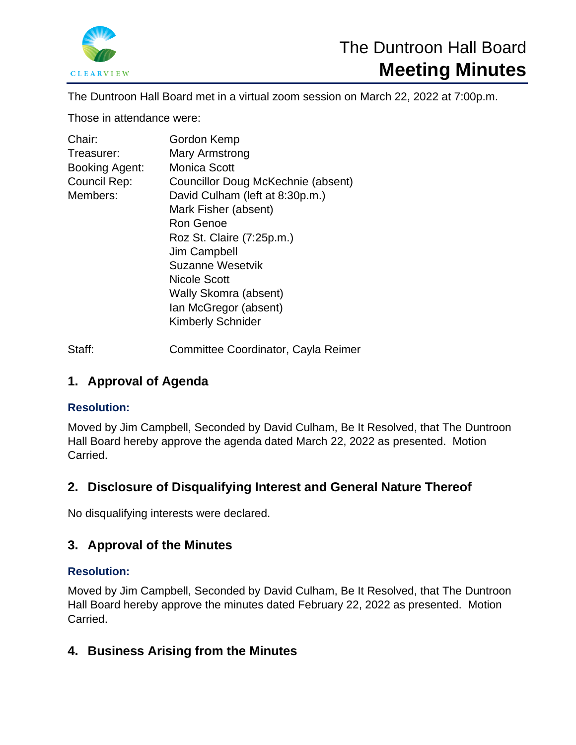

The Duntroon Hall Board met in a virtual zoom session on March 22, 2022 at 7:00p.m.

Those in attendance were:

| Chair:         | Gordon Kemp                        |
|----------------|------------------------------------|
| Treasurer:     | Mary Armstrong                     |
| Booking Agent: | <b>Monica Scott</b>                |
| Council Rep:   | Councillor Doug McKechnie (absent) |
| Members:       | David Culham (left at 8:30p.m.)    |
|                | Mark Fisher (absent)               |
|                | Ron Genoe                          |
|                | Roz St. Claire (7:25p.m.)          |
|                | Jim Campbell                       |
|                | Suzanne Wesetvik                   |
|                | Nicole Scott                       |
|                | Wally Skomra (absent)              |
|                | Ian McGregor (absent)              |
|                | <b>Kimberly Schnider</b>           |
|                |                                    |

Staff: Committee Coordinator, Cayla Reimer

# **1. Approval of Agenda**

## **Resolution:**

Moved by Jim Campbell, Seconded by David Culham, Be It Resolved, that The Duntroon Hall Board hereby approve the agenda dated March 22, 2022 as presented. Motion Carried.

# **2. Disclosure of Disqualifying Interest and General Nature Thereof**

No disqualifying interests were declared.

# **3. Approval of the Minutes**

## **Resolution:**

Moved by Jim Campbell, Seconded by David Culham, Be It Resolved, that The Duntroon Hall Board hereby approve the minutes dated February 22, 2022 as presented. Motion Carried.

# **4. Business Arising from the Minutes**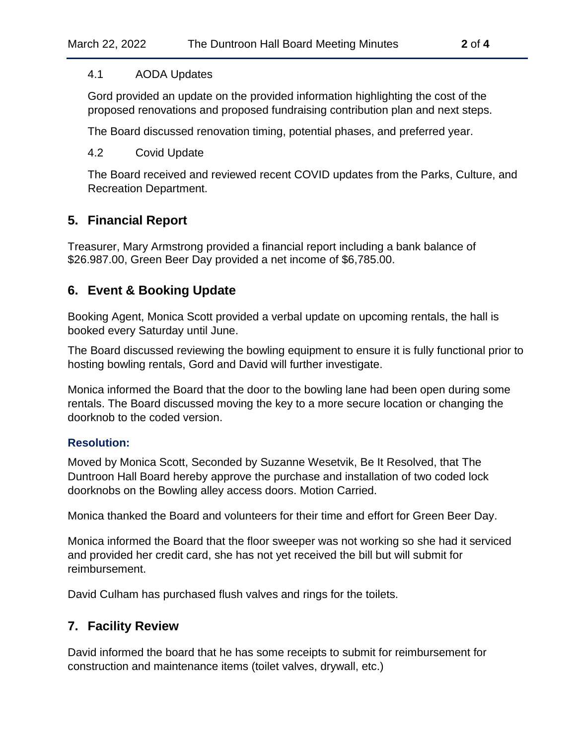#### 4.1 AODA Updates

Gord provided an update on the provided information highlighting the cost of the proposed renovations and proposed fundraising contribution plan and next steps.

The Board discussed renovation timing, potential phases, and preferred year.

#### 4.2 Covid Update

The Board received and reviewed recent COVID updates from the Parks, Culture, and Recreation Department.

### **5. Financial Report**

Treasurer, Mary Armstrong provided a financial report including a bank balance of \$26.987.00, Green Beer Day provided a net income of \$6,785.00.

### **6. Event & Booking Update**

Booking Agent, Monica Scott provided a verbal update on upcoming rentals, the hall is booked every Saturday until June.

The Board discussed reviewing the bowling equipment to ensure it is fully functional prior to hosting bowling rentals, Gord and David will further investigate.

Monica informed the Board that the door to the bowling lane had been open during some rentals. The Board discussed moving the key to a more secure location or changing the doorknob to the coded version.

#### **Resolution:**

Moved by Monica Scott, Seconded by Suzanne Wesetvik, Be It Resolved, that The Duntroon Hall Board hereby approve the purchase and installation of two coded lock doorknobs on the Bowling alley access doors. Motion Carried.

Monica thanked the Board and volunteers for their time and effort for Green Beer Day.

Monica informed the Board that the floor sweeper was not working so she had it serviced and provided her credit card, she has not yet received the bill but will submit for reimbursement.

David Culham has purchased flush valves and rings for the toilets.

### **7. Facility Review**

David informed the board that he has some receipts to submit for reimbursement for construction and maintenance items (toilet valves, drywall, etc.)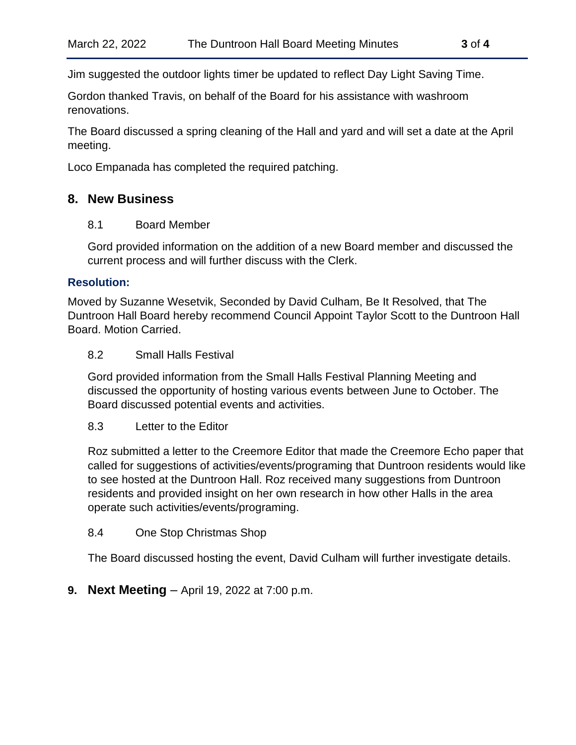Jim suggested the outdoor lights timer be updated to reflect Day Light Saving Time.

Gordon thanked Travis, on behalf of the Board for his assistance with washroom renovations.

The Board discussed a spring cleaning of the Hall and yard and will set a date at the April meeting.

Loco Empanada has completed the required patching.

#### **8. New Business**

#### 8.1 Board Member

Gord provided information on the addition of a new Board member and discussed the current process and will further discuss with the Clerk.

#### **Resolution:**

Moved by Suzanne Wesetvik, Seconded by David Culham, Be It Resolved, that The Duntroon Hall Board hereby recommend Council Appoint Taylor Scott to the Duntroon Hall Board. Motion Carried.

#### 8.2 Small Halls Festival

Gord provided information from the Small Halls Festival Planning Meeting and discussed the opportunity of hosting various events between June to October. The Board discussed potential events and activities.

#### 8.3 Letter to the Editor

Roz submitted a letter to the Creemore Editor that made the Creemore Echo paper that called for suggestions of activities/events/programing that Duntroon residents would like to see hosted at the Duntroon Hall. Roz received many suggestions from Duntroon residents and provided insight on her own research in how other Halls in the area operate such activities/events/programing.

#### 8.4 One Stop Christmas Shop

The Board discussed hosting the event, David Culham will further investigate details.

**9. Next Meeting** – April 19, 2022 at 7:00 p.m.